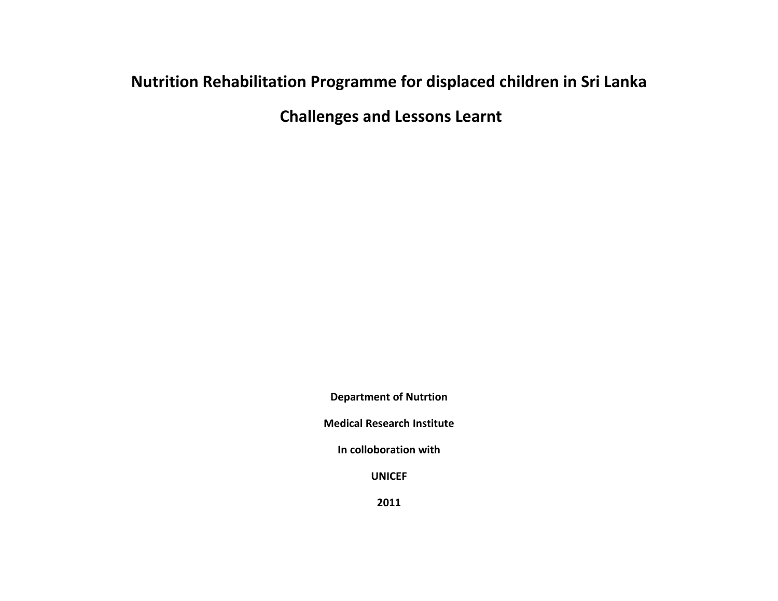## **Nutrition Rehabilitation Programme for displaced children in Sri Lanka**

**Challenges and Lessons Learnt**

**Department of Nutrtion**

**Medical Research Institute**

**In colloboration with**

**UNICEF**

**2011**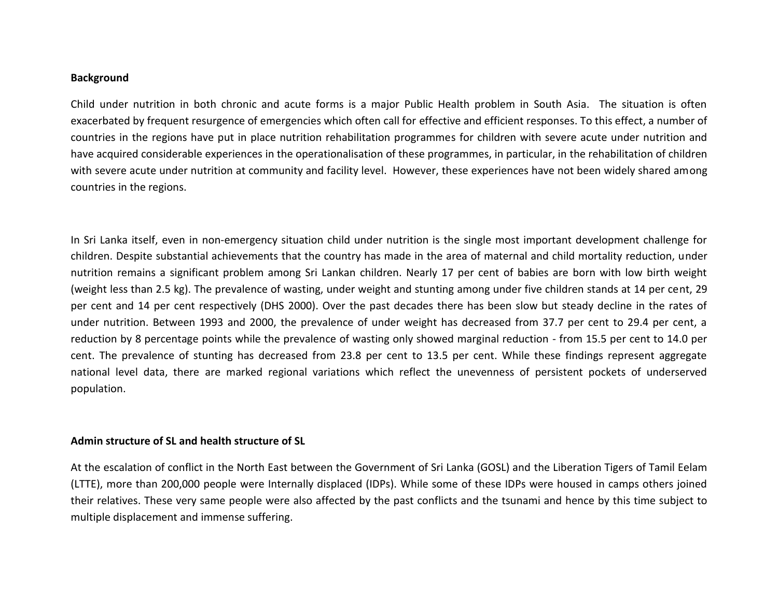## **Background**

Child under nutrition in both chronic and acute forms is a major Public Health problem in South Asia. The situation is often exacerbated by frequent resurgence of emergencies which often call for effective and efficient responses. To this effect, a number of countries in the regions have put in place nutrition rehabilitation programmes for children with severe acute under nutrition and have acquired considerable experiences in the operationalisation of these programmes, in particular, in the rehabilitation of children with severe acute under nutrition at community and facility level. However, these experiences have not been widely shared among countries in the regions.

In Sri Lanka itself, even in non-emergency situation child under nutrition is the single most important development challenge for children. Despite substantial achievements that the country has made in the area of maternal and child mortality reduction, under nutrition remains a significant problem among Sri Lankan children. Nearly 17 per cent of babies are born with low birth weight (weight less than 2.5 kg). The prevalence of wasting, under weight and stunting among under five children stands at 14 per cent, 29 per cent and 14 per cent respectively (DHS 2000). Over the past decades there has been slow but steady decline in the rates of under nutrition. Between 1993 and 2000, the prevalence of under weight has decreased from 37.7 per cent to 29.4 per cent, a reduction by 8 percentage points while the prevalence of wasting only showed marginal reduction - from 15.5 per cent to 14.0 per cent. The prevalence of stunting has decreased from 23.8 per cent to 13.5 per cent. While these findings represent aggregate national level data, there are marked regional variations which reflect the unevenness of persistent pockets of underserved population.

## **Admin structure of SL and health structure of SL**

At the escalation of conflict in the North East between the Government of Sri Lanka (GOSL) and the Liberation Tigers of Tamil Eelam (LTTE), more than 200,000 people were Internally displaced (IDPs). While some of these IDPs were housed in camps others joined their relatives. These very same people were also affected by the past conflicts and the tsunami and hence by this time subject to multiple displacement and immense suffering.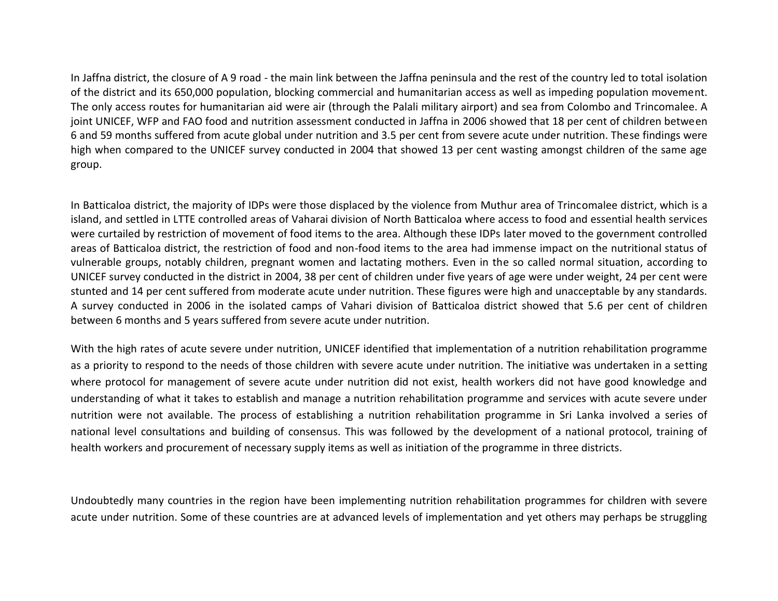In Jaffna district, the closure of A 9 road - the main link between the Jaffna peninsula and the rest of the country led to total isolation of the district and its 650,000 population, blocking commercial and humanitarian access as well as impeding population movement. The only access routes for humanitarian aid were air (through the Palali military airport) and sea from Colombo and Trincomalee. A joint UNICEF, WFP and FAO food and nutrition assessment conducted in Jaffna in 2006 showed that 18 per cent of children between 6 and 59 months suffered from acute global under nutrition and 3.5 per cent from severe acute under nutrition. These findings were high when compared to the UNICEF survey conducted in 2004 that showed 13 per cent wasting amongst children of the same age group.

In Batticaloa district, the majority of IDPs were those displaced by the violence from Muthur area of Trincomalee district, which is a island, and settled in LTTE controlled areas of Vaharai division of North Batticaloa where access to food and essential health services were curtailed by restriction of movement of food items to the area. Although these IDPs later moved to the government controlled areas of Batticaloa district, the restriction of food and non-food items to the area had immense impact on the nutritional status of vulnerable groups, notably children, pregnant women and lactating mothers. Even in the so called normal situation, according to UNICEF survey conducted in the district in 2004, 38 per cent of children under five years of age were under weight, 24 per cent were stunted and 14 per cent suffered from moderate acute under nutrition. These figures were high and unacceptable by any standards. A survey conducted in 2006 in the isolated camps of Vahari division of Batticaloa district showed that 5.6 per cent of children between 6 months and 5 years suffered from severe acute under nutrition.

With the high rates of acute severe under nutrition, UNICEF identified that implementation of a nutrition rehabilitation programme as a priority to respond to the needs of those children with severe acute under nutrition. The initiative was undertaken in a setting where protocol for management of severe acute under nutrition did not exist, health workers did not have good knowledge and understanding of what it takes to establish and manage a nutrition rehabilitation programme and services with acute severe under nutrition were not available. The process of establishing a nutrition rehabilitation programme in Sri Lanka involved a series of national level consultations and building of consensus. This was followed by the development of a national protocol, training of health workers and procurement of necessary supply items as well as initiation of the programme in three districts.

Undoubtedly many countries in the region have been implementing nutrition rehabilitation programmes for children with severe acute under nutrition. Some of these countries are at advanced levels of implementation and yet others may perhaps be struggling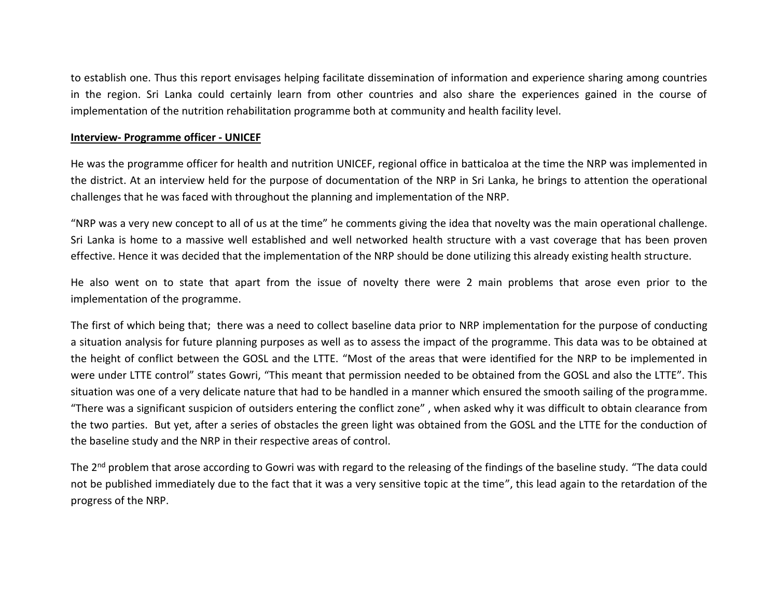to establish one. Thus this report envisages helping facilitate dissemination of information and experience sharing among countries in the region. Sri Lanka could certainly learn from other countries and also share the experiences gained in the course of implementation of the nutrition rehabilitation programme both at community and health facility level.

## **Interview- Programme officer - UNICEF**

He was the programme officer for health and nutrition UNICEF, regional office in batticaloa at the time the NRP was implemented in the district. At an interview held for the purpose of documentation of the NRP in Sri Lanka, he brings to attention the operational challenges that he was faced with throughout the planning and implementation of the NRP.

"NRP was a very new concept to all of us at the time" he comments giving the idea that novelty was the main operational challenge. Sri Lanka is home to a massive well established and well networked health structure with a vast coverage that has been proven effective. Hence it was decided that the implementation of the NRP should be done utilizing this already existing health structure.

He also went on to state that apart from the issue of novelty there were 2 main problems that arose even prior to the implementation of the programme.

The first of which being that; there was a need to collect baseline data prior to NRP implementation for the purpose of conducting a situation analysis for future planning purposes as well as to assess the impact of the programme. This data was to be obtained at the height of conflict between the GOSL and the LTTE. "Most of the areas that were identified for the NRP to be implemented in were under LTTE control" states Gowri, "This meant that permission needed to be obtained from the GOSL and also the LTTE". This situation was one of a very delicate nature that had to be handled in a manner which ensured the smooth sailing of the programme. "There was a significant suspicion of outsiders entering the conflict zone" , when asked why it was difficult to obtain clearance from the two parties. But yet, after a series of obstacles the green light was obtained from the GOSL and the LTTE for the conduction of the baseline study and the NRP in their respective areas of control.

The 2<sup>nd</sup> problem that arose according to Gowri was with regard to the releasing of the findings of the baseline study. "The data could not be published immediately due to the fact that it was a very sensitive topic at the time", this lead again to the retardation of the progress of the NRP.